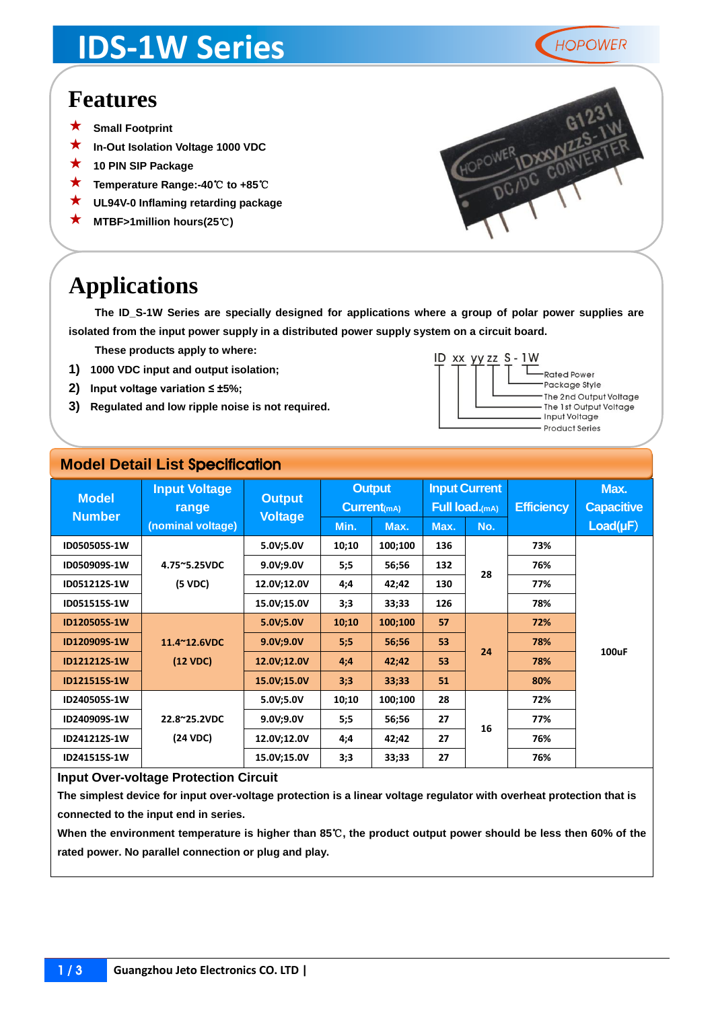## **IDS-1W Series**



### **Features**

- **Small Footprint**
- **In-Out Isolation Voltage 1000 VDC**
- **<sup>10</sup> PIN SIP Package**
- **Temperature Range:-40**℃ **to +85**℃
- **UL94V-0 Inflaming retarding package**
- **MTBF>1million hours(25**℃**)**



### **Applications**

**The ID\_S-1W Series are specially designed for applications where a group of polar power supplies are isolated from the input power supply in a distributed power supply system on a circuit board.**

**These products apply to where:**

- **1) 1000 VDC input and output isolation;**
- **2) Input voltage variation ≤ ±5%;**
- **3) Regulated and low ripple noise is not required.**



#### **Model Detail List** Specification

| <b>Model</b><br><b>Number</b> | <b>Input Voltage</b><br>range | <b>Output</b><br><b>Voltage</b> | <b>Output</b><br>$Current_{(mA)}$ |         | <b>Input Current</b><br><b>Full load.</b> (mA) |     | <b>Efficiency</b> | Max.<br><b>Capacitive</b> |
|-------------------------------|-------------------------------|---------------------------------|-----------------------------------|---------|------------------------------------------------|-----|-------------------|---------------------------|
|                               | (nominal voltage)             |                                 | Min.                              | Max.    | Max.                                           | No. |                   | $Load(\mu F)$             |
| ID050505S-1W                  |                               | 5.0V;5.0V                       | 10;10                             | 100;100 | 136                                            |     | 73%               |                           |
| ID050909S-1W                  | 4.75~5.25VDC                  | 9.0V; 9.0V                      | 5:5                               | 56;56   | 132                                            |     | 76%               |                           |
| ID051212S-1W                  | (5 VDC)                       | 12.0V;12.0V                     | 4;4                               | 42;42   | 130                                            | 28  | 77%               |                           |
| ID051515S-1W                  |                               | 15.0V;15.0V                     | 3;3                               | 33;33   | 126                                            |     | 78%               |                           |
| ID120505S-1W                  |                               | 5.0V;5.0V                       | 10;10                             | 100;100 | 57                                             |     | 72%               |                           |
| ID120909S-1W                  | 11.4~12.6VDC                  | 9.0V; 9.0V                      | 5:5                               | 56;56   | 53                                             |     | 78%               |                           |
| ID121212S-1W                  | (12 VDC)                      | 12.0V;12.0V                     | 4;4                               | 42;42   | 53                                             | 24  | 78%               | 100uF                     |
| ID121515S-1W                  |                               | 15.0V;15.0V                     | 3;3                               | 33;33   | 51                                             |     | 80%               |                           |
| ID240505S-1W                  |                               | 5.0V;5.0V                       | 10;10                             | 100;100 | 28                                             |     | 72%               |                           |
| ID240909S-1W                  | 22.8~25.2VDC                  | 9.0V; 9.0V                      | 5:5                               | 56;56   | 27                                             |     | 77%               |                           |
| ID241212S-1W                  | (24 VDC)                      | 12.0V;12.0V                     | 4;4                               | 42;42   | 27                                             | 16  | 76%               |                           |
| ID241515S-1W                  |                               | 15.0V;15.0V                     | 3;3                               | 33;33   | 27                                             |     | 76%               |                           |

#### **Input Over-voltage Protection Circuit**

**The simplest device for input over-voltage protection is a linear voltage regulator with overheat protection that is connected to the input end in series.** 

**When the environment temperature is higher than 85**℃**, the product output power should be less then 60% of the rated power. No parallel connection or plug and play.**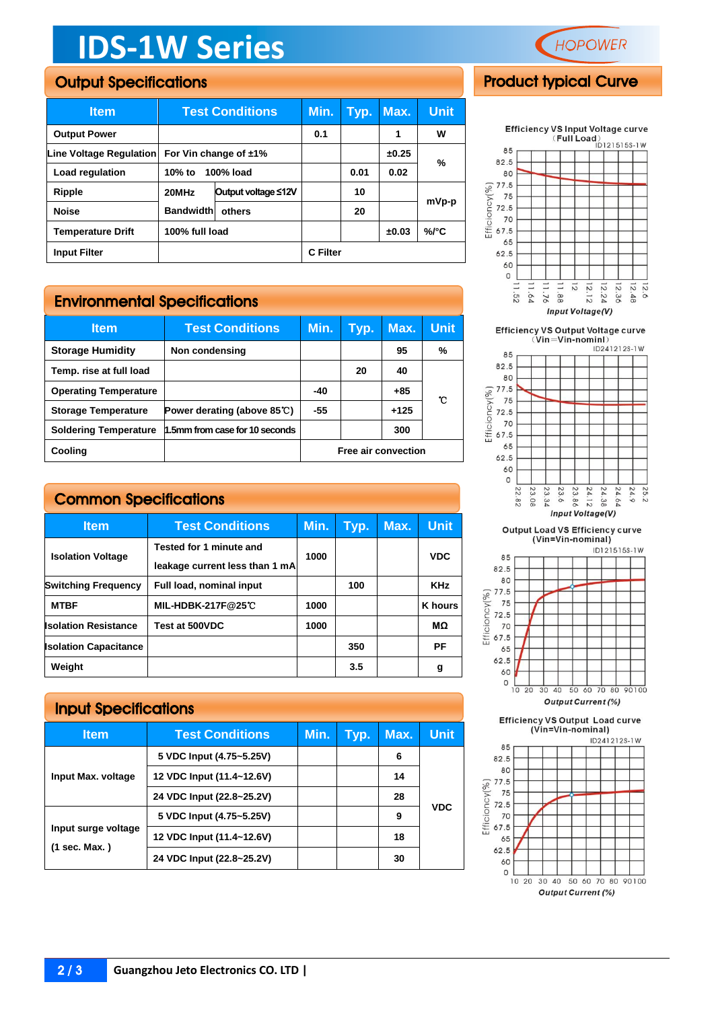# **IDS-1W Series**

#### Output Specifications

| <b>Item</b>                                         | <b>Test Conditions</b> |                     | Min.            | Typ. | Max.  | Unit  |
|-----------------------------------------------------|------------------------|---------------------|-----------------|------|-------|-------|
| <b>Output Power</b>                                 |                        |                     | 0.1             |      | 1     | w     |
| Line Voltage Regulation<br>For Vin change of $±1\%$ |                        |                     |                 |      | ±0.25 | %     |
| Load regulation                                     | 100% load<br>10% to    |                     | 0.01            | 0.02 |       |       |
| Ripple                                              | 20MHz                  | Output voltage ≤12V |                 | 10   |       |       |
| <b>Noise</b>                                        | <b>Bandwidthl</b>      | others              |                 | 20   |       | mVp-p |
| <b>Temperature Drift</b>                            | 100% full load         |                     |                 |      | ±0.03 | %/°C  |
| <b>Input Filter</b>                                 |                        |                     | <b>C</b> Filter |      |       |       |

#### Environmental Specifications

| <b>Item</b>                  | <b>Test Conditions</b>                | Min.                | Typ. | Max.   | Unit. |
|------------------------------|---------------------------------------|---------------------|------|--------|-------|
| <b>Storage Humidity</b>      | Non condensing                        |                     |      | 95     | %     |
| Temp. rise at full load      |                                       |                     | 20   | 40     |       |
| <b>Operating Temperature</b> |                                       | $-40$               |      | $+85$  | r     |
| <b>Storage Temperature</b>   | Power derating (above $85^{\circ}$ C) | -55                 |      | $+125$ |       |
| <b>Soldering Temperature</b> | 1.5mm from case for 10 seconds        |                     |      | 300    |       |
| Cooling                      |                                       | Free air convection |      |        |       |

| <b>Common Specifications</b> |                          |      |                                |      |                |  |
|------------------------------|--------------------------|------|--------------------------------|------|----------------|--|
| <b>Item</b>                  | <b>Test Conditions</b>   | Min. | Tvp.                           | Max. | <b>Unit</b>    |  |
| <b>Isolation Voltage</b>     | Tested for 1 minute and  | 1000 |                                |      | <b>VDC</b>     |  |
| <b>Switching Frequency</b>   | Full load, nominal input |      | 100                            |      | <b>KHz</b>     |  |
| <b>MTBF</b>                  | <b>MIL-HDBK-217F@25℃</b> | 1000 |                                |      | <b>K</b> hours |  |
|                              |                          |      | leakage current less than 1 mA |      |                |  |

**Isolation Resistance Test at 500VDC 1000 MΩ Isolation Capacitance 350 PF Weight 3.5 g**

#### Input Specifications

| <b>Item</b>                          | <b>Test Conditions</b>    | Min. | Typ. | Max. | <b>Unit</b> |
|--------------------------------------|---------------------------|------|------|------|-------------|
|                                      | 5 VDC Input (4.75~5.25V)  |      |      | 6    |             |
| Input Max. voltage                   | 12 VDC Input (11.4~12.6V) |      |      | 14   |             |
|                                      | 24 VDC Input (22.8~25.2V) |      |      | 28   |             |
|                                      | 5 VDC Input (4.75~5.25V)  |      |      | 9    | <b>VDC</b>  |
| Input surge voltage<br>(1 sec. Max.) | 12 VDC Input (11.4~12.6V) |      |      | 18   |             |
|                                      | 24 VDC Input (22.8~25.2V) |      |      | 30   |             |



#### Product typical Curve



Efficiency VS Output Voltage curve<br>(Vin=Vin-nominl)





Output Load VS Efficiency curve<br>(Vin=Vin-nominal)



**Efficiency VS Output Load curve** (Vin=Vin-nominal)